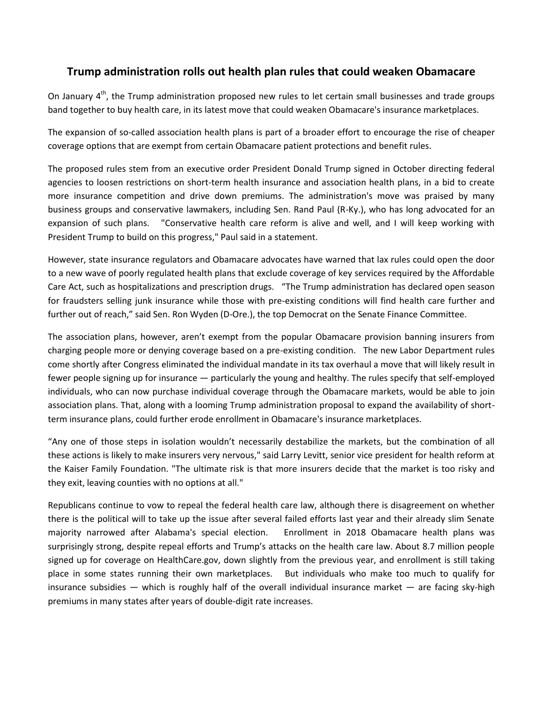## **Trump administration rolls out health plan rules that could weaken Obamacare**

On January  $4<sup>th</sup>$ , the Trump administration proposed new rules to let certain small businesses and trade groups band together to buy health care, in its latest move that could weaken Obamacare's insurance marketplaces.

The expansion of so-called association health plans is part of a broader effort to encourage the rise of cheaper coverage options that are exempt from certain Obamacare patient protections and benefit rules.

The proposed rules stem from an executive order President Donald Trump signed in October directing federal agencies to loosen restrictions on short-term health insurance and association health plans, in a bid to create more insurance competition and drive down premiums. The administration's move was praised by many business groups and conservative lawmakers, including Sen. Rand Paul (R-Ky.), who has long advocated for an expansion of such plans. "Conservative health care reform is alive and well, and I will keep working with President Trump to build on this progress," Paul said in a statement.

However, state insurance regulators and Obamacare advocates have warned that lax rules could open the door to a new wave of poorly regulated health plans that exclude coverage of key services required by the Affordable Care Act, such as hospitalizations and prescription drugs. "The Trump administration has declared open season for fraudsters selling junk insurance while those with pre-existing conditions will find health care further and further out of reach," said Sen. Ron Wyden (D-Ore.), the top Democrat on the Senate Finance Committee.

The association plans, however, aren't exempt from the popular Obamacare provision banning insurers from charging people more or denying coverage based on a pre-existing condition. The new Labor Department rules come shortly after Congress eliminated the individual mandate in its tax overhaul a move that will likely result in fewer people signing up for insurance — particularly the young and healthy. The rules specify that self-employed individuals, who can now purchase individual coverage through the Obamacare markets, would be able to join association plans. That, along with a looming Trump administration proposal to expand the availability of shortterm insurance plans, could further erode enrollment in Obamacare's insurance marketplaces.

"Any one of those steps in isolation wouldn't necessarily destabilize the markets, but the combination of all these actions is likely to make insurers very nervous," said Larry Levitt, senior vice president for health reform at the Kaiser Family Foundation. "The ultimate risk is that more insurers decide that the market is too risky and they exit, leaving counties with no options at all."

Republicans continue to vow to repeal the federal health care law, although there is disagreement on whether there is the political will to take up the issue after several failed efforts last year and their already slim Senate majority narrowed after Alabama's special election. Enrollment in 2018 Obamacare health plans was surprisingly strong, despite repeal efforts and Trump's attacks on the health care law. About 8.7 million people signed up for coverage on HealthCare.gov, down slightly from the previous year, and enrollment is still taking place in some states running their own marketplaces. But individuals who make too much to qualify for insurance subsidies  $-$  which is roughly half of the overall individual insurance market  $-$  are facing sky-high premiums in many states after years of double-digit rate increases.